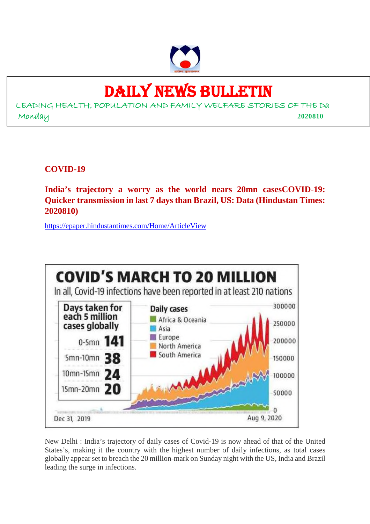

## DAILY NEWS BULLETIN

LEADING HEALTH, POPULATION AND FAMILY WELFARE STORIES OF THE Da Monday **2020810**

**COVID-19**

**India's trajectory a worry as the world nears 20mn casesCOVID-19: Quicker transmission in last 7 days than Brazil, US: Data (Hindustan Times: 2020810)**

https://epaper.hindustantimes.com/Home/ArticleView



New Delhi : India's trajectory of daily cases of Covid-19 is now ahead of that of the United States's, making it the country with the highest number of daily infections, as total cases globally appear set to breach the 20 million-mark on Sunday night with the US, India and Brazil leading the surge in infections.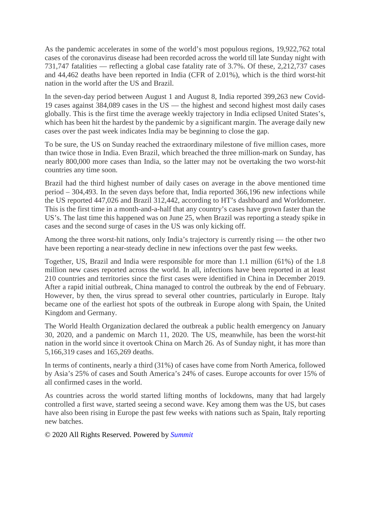As the pandemic accelerates in some of the world's most populous regions, 19,922,762 total cases of the coronavirus disease had been recorded across the world till late Sunday night with 731,747 fatalities — reflecting a global case fatality rate of 3.7%. Of these, 2,212,737 cases and 44,462 deaths have been reported in India (CFR of 2.01%), which is the third worst-hit nation in the world after the US and Brazil.

In the seven-day period between August 1 and August 8, India reported 399,263 new Covid-19 cases against 384,089 cases in the US — the highest and second highest most daily cases globally. This is the first time the average weekly trajectory in India eclipsed United States's, which has been hit the hardest by the pandemic by a significant margin. The average daily new cases over the past week indicates India may be beginning to close the gap.

To be sure, the US on Sunday reached the extraordinary milestone of five million cases, more than twice those in India. Even Brazil, which breached the three million-mark on Sunday, has nearly 800,000 more cases than India, so the latter may not be overtaking the two worst-hit countries any time soon.

Brazil had the third highest number of daily cases on average in the above mentioned time period – 304,493. In the seven days before that, India reported 366,196 new infections while the US reported 447,026 and Brazil 312,442, according to HT's dashboard and Worldometer. This is the first time in a month-and-a-half that any country's cases have grown faster than the US's. The last time this happened was on June 25, when Brazil was reporting a steady spike in cases and the second surge of cases in the US was only kicking off.

Among the three worst-hit nations, only India's trajectory is currently rising — the other two have been reporting a near-steady decline in new infections over the past few weeks.

Together, US, Brazil and India were responsible for more than 1.1 million (61%) of the 1.8 million new cases reported across the world. In all, infections have been reported in at least 210 countries and territories since the first cases were identified in China in December 2019. After a rapid initial outbreak, China managed to control the outbreak by the end of February. However, by then, the virus spread to several other countries, particularly in Europe. Italy became one of the earliest hot spots of the outbreak in Europe along with Spain, the United Kingdom and Germany.

The World Health Organization declared the outbreak a public health emergency on January 30, 2020, and a pandemic on March 11, 2020. The US, meanwhile, has been the worst-hit nation in the world since it overtook China on March 26. As of Sunday night, it has more than 5,166,319 cases and 165,269 deaths.

In terms of continents, nearly a third (31%) of cases have come from North America, followed by Asia's 25% of cases and South America's 24% of cases. Europe accounts for over 15% of all confirmed cases in the world.

As countries across the world started lifting months of lockdowns, many that had largely controlled a first wave, started seeing a second wave. Key among them was the US, but cases have also been rising in Europe the past few weeks with nations such as Spain, Italy reporting new batches.

© 2020 All Rights Reserved. Powered by *Summit*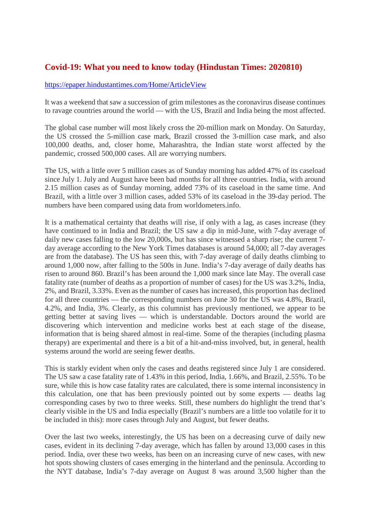#### **Covid-19: What you need to know today (Hindustan Times: 2020810)**

#### https://epaper.hindustantimes.com/Home/ArticleView

It was a weekend that saw a succession of grim milestones as the coronavirus disease continues to ravage countries around the world — with the US, Brazil and India being the most affected.

The global case number will most likely cross the 20-million mark on Monday. On Saturday, the US crossed the 5-million case mark, Brazil crossed the 3-million case mark, and also 100,000 deaths, and, closer home, Maharashtra, the Indian state worst affected by the pandemic, crossed 500,000 cases. All are worrying numbers.

The US, with a little over 5 million cases as of Sunday morning has added 47% of its caseload since July 1. July and August have been bad months for all three countries. India, with around 2.15 million cases as of Sunday morning, added 73% of its caseload in the same time. And Brazil, with a little over 3 million cases, added 53% of its caseload in the 39-day period. The numbers have been compared using data from worldometers.info.

It is a mathematical certainty that deaths will rise, if only with a lag, as cases increase (they have continued to in India and Brazil; the US saw a dip in mid-June, with 7-day average of daily new cases falling to the low 20,000s, but has since witnessed a sharp rise; the current 7 day average according to the New York Times databases is around 54,000; all 7-day averages are from the database). The US has seen this, with 7-day average of daily deaths climbing to around 1,000 now, after falling to the 500s in June. India's 7-day average of daily deaths has risen to around 860. Brazil's has been around the 1,000 mark since late May. The overall case fatality rate (number of deaths as a proportion of number of cases) for the US was 3.2%, India, 2%, and Brazil, 3.33%. Even as the number of cases has increased, this proportion has declined for all three countries — the corresponding numbers on June 30 for the US was 4.8%, Brazil, 4.2%, and India, 3%. Clearly, as this columnist has previously mentioned, we appear to be getting better at saving lives — which is understandable. Doctors around the world are discovering which intervention and medicine works best at each stage of the disease, information that is being shared almost in real-time. Some of the therapies (including plasma therapy) are experimental and there is a bit of a hit-and-miss involved, but, in general, health systems around the world are seeing fewer deaths.

This is starkly evident when only the cases and deaths registered since July 1 are considered. The US saw a case fatality rate of 1.43% in this period, India, 1.66%, and Brazil, 2.55%. To be sure, while this is how case fatality rates are calculated, there is some internal inconsistency in this calculation, one that has been previously pointed out by some experts — deaths lag corresponding cases by two to three weeks. Still, these numbers do highlight the trend that's clearly visible in the US and India especially (Brazil's numbers are a little too volatile for it to be included in this): more cases through July and August, but fewer deaths.

Over the last two weeks, interestingly, the US has been on a decreasing curve of daily new cases, evident in its declining 7-day average, which has fallen by around 13,000 cases in this period. India, over these two weeks, has been on an increasing curve of new cases, with new hot spots showing clusters of cases emerging in the hinterland and the peninsula. According to the NYT database, India's 7-day average on August 8 was around 3,500 higher than the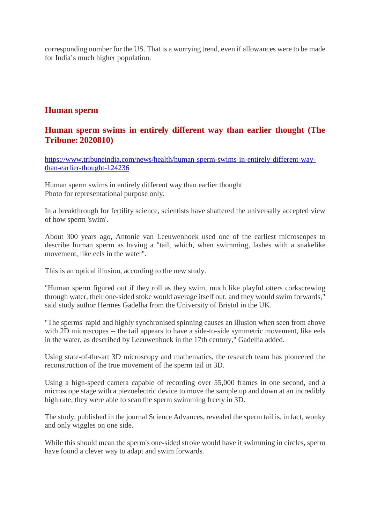corresponding number for the US. That is a worrying trend, even if allowances were to be made for India's much higher population.

#### **Human sperm**

#### **Human sperm swims in entirely different way than earlier thought (The Tribune: 2020810)**

https://www.tribuneindia.com/news/health/human-sperm-swims-in-entirely-different-waythan-earlier-thought-124236

Human sperm swims in entirely different way than earlier thought Photo for representational purpose only.

In a breakthrough for fertility science, scientists have shattered the universally accepted view of how sperm 'swim'.

About 300 years ago, Antonie van Leeuwenhoek used one of the earliest microscopes to describe human sperm as having a "tail, which, when swimming, lashes with a snakelike movement, like eels in the water".

This is an optical illusion, according to the new study.

"Human sperm figured out if they roll as they swim, much like playful otters corkscrewing through water, their one-sided stoke would average itself out, and they would swim forwards," said study author Hermes Gadelha from the University of Bristol in the UK.

"The sperms' rapid and highly synchronised spinning causes an illusion when seen from above with 2D microscopes -- the tail appears to have a side-to-side symmetric movement, like eels in the water, as described by Leeuwenhoek in the 17th century," Gadelha added.

Using state-of-the-art 3D microscopy and mathematics, the research team has pioneered the reconstruction of the true movement of the sperm tail in 3D.

Using a high-speed camera capable of recording over 55,000 frames in one second, and a microscope stage with a piezoelectric device to move the sample up and down at an incredibly high rate, they were able to scan the sperm swimming freely in 3D.

The study, published in the journal Science Advances, revealed the sperm tail is, in fact, wonky and only wiggles on one side.

While this should mean the sperm's one-sided stroke would have it swimming in circles, sperm have found a clever way to adapt and swim forwards.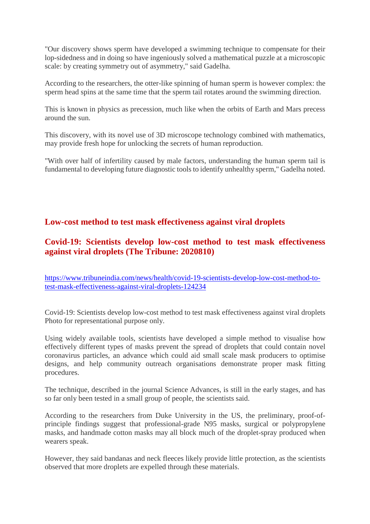"Our discovery shows sperm have developed a swimming technique to compensate for their lop-sidedness and in doing so have ingeniously solved a mathematical puzzle at a microscopic scale: by creating symmetry out of asymmetry," said Gadelha.

According to the researchers, the otter-like spinning of human sperm is however complex: the sperm head spins at the same time that the sperm tail rotates around the swimming direction.

This is known in physics as precession, much like when the orbits of Earth and Mars precess around the sun.

This discovery, with its novel use of 3D microscope technology combined with mathematics, may provide fresh hope for unlocking the secrets of human reproduction.

"With over half of infertility caused by male factors, understanding the human sperm tail is fundamental to developing future diagnostic tools to identify unhealthy sperm," Gadelha noted.

#### **Low-cost method to test mask effectiveness against viral droplets**

#### **Covid-19: Scientists develop low-cost method to test mask effectiveness against viral droplets (The Tribune: 2020810)**

https://www.tribuneindia.com/news/health/covid-19-scientists-develop-low-cost-method-totest-mask-effectiveness-against-viral-droplets-124234

Covid-19: Scientists develop low-cost method to test mask effectiveness against viral droplets Photo for representational purpose only.

Using widely available tools, scientists have developed a simple method to visualise how effectively different types of masks prevent the spread of droplets that could contain novel coronavirus particles, an advance which could aid small scale mask producers to optimise designs, and help community outreach organisations demonstrate proper mask fitting procedures.

The technique, described in the journal Science Advances, is still in the early stages, and has so far only been tested in a small group of people, the scientists said.

According to the researchers from Duke University in the US, the preliminary, proof-ofprinciple findings suggest that professional-grade N95 masks, surgical or polypropylene masks, and handmade cotton masks may all block much of the droplet-spray produced when wearers speak.

However, they said bandanas and neck fleeces likely provide little protection, as the scientists observed that more droplets are expelled through these materials.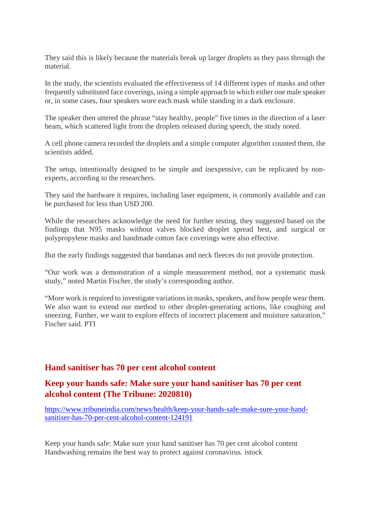They said this is likely because the materials break up larger droplets as they pass through the material.

In the study, the scientists evaluated the effectiveness of 14 different types of masks and other frequently substituted face coverings, using a simple approach in which either one male speaker or, in some cases, four speakers wore each mask while standing in a dark enclosure.

The speaker then uttered the phrase "stay healthy, people" five times in the direction of a laser beam, which scattered light from the droplets released during speech, the study noted.

A cell phone camera recorded the droplets and a simple computer algorithm counted them, the scientists added.

The setup, intentionally designed to be simple and inexpensive, can be replicated by nonexperts, according to the researchers.

They said the hardware it requires, including laser equipment, is commonly available and can be purchased for less than USD 200.

While the researchers acknowledge the need for further testing, they suggested based on the findings that N95 masks without valves blocked droplet spread best, and surgical or polypropylene masks and handmade cotton face coverings were also effective.

But the early findings suggested that bandanas and neck fleeces do not provide protection.

"Our work was a demonstration of a simple measurement method, not a systematic mask study," noted Martin Fischer, the study's corresponding author.

"More work is required to investigate variations in masks, speakers, and how people wear them. We also want to extend our method to other droplet-generating actions, like coughing and sneezing. Further, we want to explore effects of incorrect placement and moisture saturation," Fischer said. PTI

#### **Hand sanitiser has 70 per cent alcohol content**

#### **Keep your hands safe: Make sure your hand sanitiser has 70 per cent alcohol content (The Tribune: 2020810)**

https://www.tribuneindia.com/news/health/keep-your-hands-safe-make-sure-your-handsanitiser-has-70-per-cent-alcohol-content-124191

Keep your hands safe: Make sure your hand sanitiser has 70 per cent alcohol content Handwashing remains the best way to protect against coronavirus. istock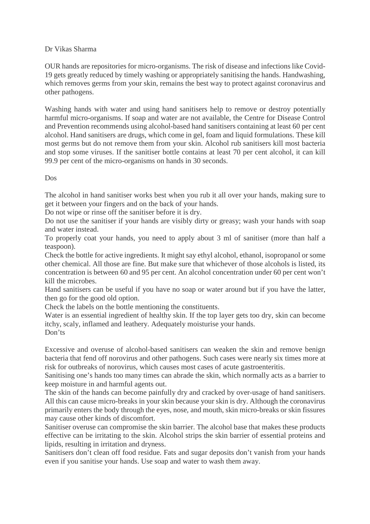#### Dr Vikas Sharma

OUR hands are repositories for micro-organisms. The risk of disease and infections like Covid-19 gets greatly reduced by timely washing or appropriately sanitising the hands. Handwashing, which removes germs from your skin, remains the best way to protect against coronavirus and other pathogens.

Washing hands with water and using hand sanitisers help to remove or destroy potentially harmful micro-organisms. If soap and water are not available, the Centre for Disease Control and Prevention recommends using alcohol-based hand sanitisers containing at least 60 per cent alcohol. Hand sanitisers are drugs, which come in gel, foam and liquid formulations. These kill most germs but do not remove them from your skin. Alcohol rub sanitisers kill most bacteria and stop some viruses. If the sanitiser bottle contains at least 70 per cent alcohol, it can kill 99.9 per cent of the micro-organisms on hands in 30 seconds.

Dos

The alcohol in hand sanitiser works best when you rub it all over your hands, making sure to get it between your fingers and on the back of your hands.

Do not wipe or rinse off the sanitiser before it is dry.

Do not use the sanitiser if your hands are visibly dirty or greasy; wash your hands with soap and water instead.

To properly coat your hands, you need to apply about 3 ml of sanitiser (more than half a teaspoon).

Check the bottle for active ingredients. It might say ethyl alcohol, ethanol, isopropanol or some other chemical. All those are fine. But make sure that whichever of those alcohols is listed, its concentration is between 60 and 95 per cent. An alcohol concentration under 60 per cent won't kill the microbes.

Hand sanitisers can be useful if you have no soap or water around but if you have the latter, then go for the good old option.

Check the labels on the bottle mentioning the constituents.

Water is an essential ingredient of healthy skin. If the top layer gets too dry, skin can become itchy, scaly, inflamed and leathery. Adequately moisturise your hands. Don'ts

Excessive and overuse of alcohol-based sanitisers can weaken the skin and remove benign bacteria that fend off norovirus and other pathogens. Such cases were nearly six times more at risk for outbreaks of norovirus, which causes most cases of acute gastroenteritis.

Sanitising one's hands too many times can abrade the skin, which normally acts as a barrier to keep moisture in and harmful agents out.

The skin of the hands can become painfully dry and cracked by over-usage of hand sanitisers. All this can cause micro-breaks in your skin because your skin is dry. Although the coronavirus primarily enters the body through the eyes, nose, and mouth, skin micro-breaks or skin fissures may cause other kinds of discomfort.

Sanitiser overuse can compromise the skin barrier. The alcohol base that makes these products effective can be irritating to the skin. Alcohol strips the skin barrier of essential proteins and lipids, resulting in irritation and dryness.

Sanitisers don't clean off food residue. Fats and sugar deposits don't vanish from your hands even if you sanitise your hands. Use soap and water to wash them away.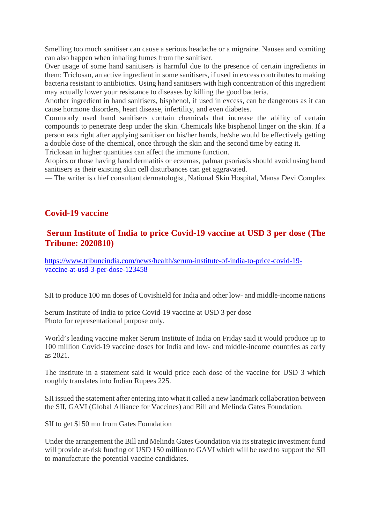Smelling too much sanitiser can cause a serious headache or a migraine. Nausea and vomiting can also happen when inhaling fumes from the sanitiser.

Over usage of some hand sanitisers is harmful due to the presence of certain ingredients in them: Triclosan, an active ingredient in some sanitisers, if used in excess contributes to making bacteria resistant to antibiotics. Using hand sanitisers with high concentration of this ingredient may actually lower your resistance to diseases by killing the good bacteria.

Another ingredient in hand sanitisers, bisphenol, if used in excess, can be dangerous as it can cause hormone disorders, heart disease, infertility, and even diabetes.

Commonly used hand sanitisers contain chemicals that increase the ability of certain compounds to penetrate deep under the skin. Chemicals like bisphenol linger on the skin. If a person eats right after applying sanitiser on his/her hands, he/she would be effectively getting a double dose of the chemical, once through the skin and the second time by eating it.

Triclosan in higher quantities can affect the immune function.

Atopics or those having hand dermatitis or eczemas, palmar psoriasis should avoid using hand sanitisers as their existing skin cell disturbances can get aggravated.

— The writer is chief consultant dermatologist, National Skin Hospital, Mansa Devi Complex

#### **Covid-19 vaccine**

#### **Serum Institute of India to price Covid-19 vaccine at USD 3 per dose (The Tribune: 2020810)**

https://www.tribuneindia.com/news/health/serum-institute-of-india-to-price-covid-19 vaccine-at-usd-3-per-dose-123458

SII to produce 100 mn doses of Covishield for India and other low- and middle-income nations

Serum Institute of India to price Covid-19 vaccine at USD 3 per dose Photo for representational purpose only.

World's leading vaccine maker Serum Institute of India on Friday said it would produce up to 100 million Covid-19 vaccine doses for India and low- and middle-income countries as early as 2021.

The institute in a statement said it would price each dose of the vaccine for USD 3 which roughly translates into Indian Rupees 225.

SII issued the statement after entering into what it called a new landmark collaboration between the SII, GAVI (Global Alliance for Vaccines) and Bill and Melinda Gates Foundation.

SII to get \$150 mn from Gates Foundation

Under the arrangement the Bill and Melinda Gates Goundation via its strategic investment fund will provide at-risk funding of USD 150 million to GAVI which will be used to support the SII to manufacture the potential vaccine candidates.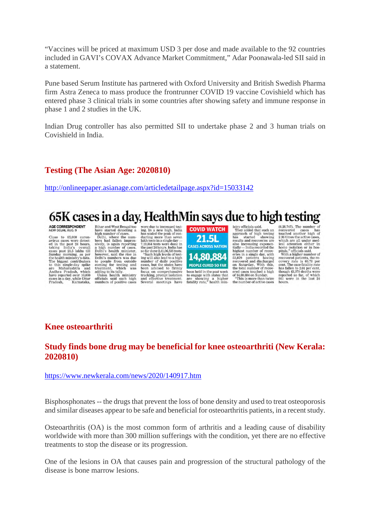"Vaccines will be priced at maximum USD 3 per dose and made available to the 92 countries included in GAVI's COVAX Advance Market Commitment," Adar Poonawala-led SII said in a statement.

Pune based Serum Institute has partnered with Oxford University and British Swedish Pharma firm Astra Zeneca to mass produce the frontrunner COVID 19 vaccine Covishield which has entered phase 3 clinical trials in some countries after showing safety and immune response in phase 1 and 2 studies in the UK.

Indian Drug controller has also permitted SII to undertake phase 2 and 3 human trials on Covishield in India.

#### **Testing (The Asian Age: 2020810)**

http://onlineepaper.asianage.com/articledetailpage.aspx?id=15033142

### 65K cases in a day, HealthMin says due to high testing

AGE CORRESPONDENT

 $Close to 65,000 coron.$ Close to 65,000 coron-<br>avirus cases were detect-<br>ed in the past 24 hours,<br>taking India's overall<br>cases past 21.5 lakhs till<br>Sunday morning, as per<br>the health ministry's data. the neath mumistry stata.<br>The biggest contributors to this single-day spike are<br>and Maharashtra and Andhra Pradesh, which have reported over 10,000<br>cases in a day, while Uftar<br>Pradesh, Karnataka, **STATE COMPRESS**<br>
Bihar and West Bengal too<br>
Babar started detecting a<br>
belsi, where the number<br>
bers had fallen impressively, is again reporting<br>
street), a said the rise in<br>
behis headth minister.<br>
Delhi's number was due officials said such h high

were due to increased test-<br>ing. In a new high, India<br>has scaled the peak of con-<br>ducting more than seven<br>lakh tests in a single day lakh tests in a single day —<br>7,19,364 tests were done in<br>the past 24 hours. India has<br>so far done 2.41.06.355 tests.<br>So far done 2.41.06.355 tests<br>ing will also lead to a high<br>number of daily positive<br>cases, but the states focus on comprehensive focus on comprehensive<br>tracking, prompt isolation<br>and effective treatment.<br>Several meetings have



istry officials said.<br>They added that such an<br>approach of high testing<br>has started showing<br>results and recoveries are also increasing exponen-<br>tially-India recorded the tially — India recorded the<br>highest number of recov-<br>highest number of recovers in a single day, with<br>space and discharged<br>recovered and discharged<br>on Saturday. With this,<br>the total number of recov-<br>ored cases touched a hi

(6,28,747). The number of<br>recovered cases has<br>touched another high of 2.36 times the active cases,<br>which are all under medwhich are an under mea-<br>load attention or in hos-<br>pitals," officials said.<br>With a higher number of

recovered patients, the recovery rate is 68.78 per has fallen to 2.01 per cent.<br>though 43,379 deaths were reported so far, of which<br>861 were in the last 24 hours.

#### **Knee osteoarthriti**

#### **Study finds bone drug may be beneficial for knee osteoarthriti (New Kerala: 2020810)**

#### https://www.newkerala.com/news/2020/140917.htm

Bisphosphonates -- the drugs that prevent the loss of bone density and used to treat osteoporosis and similar diseases appear to be safe and beneficial for osteoarthritis patients, in a recent study.

Osteoarthritis (OA) is the most common form of arthritis and a leading cause of disability worldwide with more than 300 million sufferings with the condition, yet there are no effective treatments to stop the disease or its progression.

One of the lesions in OA that causes pain and progression of the structural pathology of the disease is bone marrow lesions.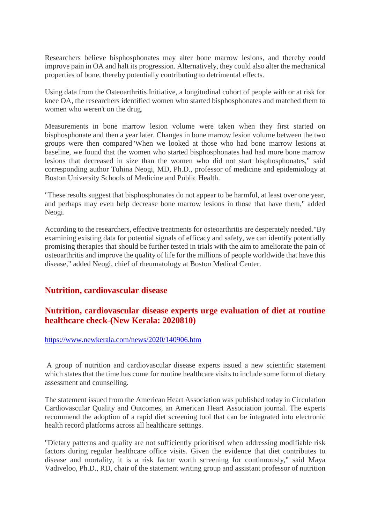Researchers believe bisphosphonates may alter bone marrow lesions, and thereby could improve pain in OA and halt its progression. Alternatively, they could also alter the mechanical properties of bone, thereby potentially contributing to detrimental effects.

Using data from the Osteoarthritis Initiative, a longitudinal cohort of people with or at risk for knee OA, the researchers identified women who started bisphosphonates and matched them to women who weren't on the drug.

Measurements in bone marrow lesion volume were taken when they first started on bisphosphonate and then a year later. Changes in bone marrow lesion volume between the two groups were then compared"When we looked at those who had bone marrow lesions at baseline, we found that the women who started bisphosphonates had had more bone marrow lesions that decreased in size than the women who did not start bisphosphonates," said corresponding author Tuhina Neogi, MD, Ph.D., professor of medicine and epidemiology at Boston University Schools of Medicine and Public Health.

"These results suggest that bisphosphonates do not appear to be harmful, at least over one year, and perhaps may even help decrease bone marrow lesions in those that have them," added Neogi.

According to the researchers, effective treatments for osteoarthritis are desperately needed."By examining existing data for potential signals of efficacy and safety, we can identify potentially promising therapies that should be further tested in trials with the aim to ameliorate the pain of osteoarthritis and improve the quality of life for the millions of people worldwide that have this disease," added Neogi, chief of rheumatology at Boston Medical Center.

#### **Nutrition, cardiovascular disease**

#### **Nutrition, cardiovascular disease experts urge evaluation of diet at routine healthcare check-(New Kerala: 2020810)**

#### https://www.newkerala.com/news/2020/140906.htm

A group of nutrition and cardiovascular disease experts issued a new scientific statement which states that the time has come for routine healthcare visits to include some form of dietary assessment and counselling.

The statement issued from the American Heart Association was published today in Circulation Cardiovascular Quality and Outcomes, an American Heart Association journal. The experts recommend the adoption of a rapid diet screening tool that can be integrated into electronic health record platforms across all healthcare settings.

"Dietary patterns and quality are not sufficiently prioritised when addressing modifiable risk factors during regular healthcare office visits. Given the evidence that diet contributes to disease and mortality, it is a risk factor worth screening for continuously," said Maya Vadiveloo, Ph.D., RD, chair of the statement writing group and assistant professor of nutrition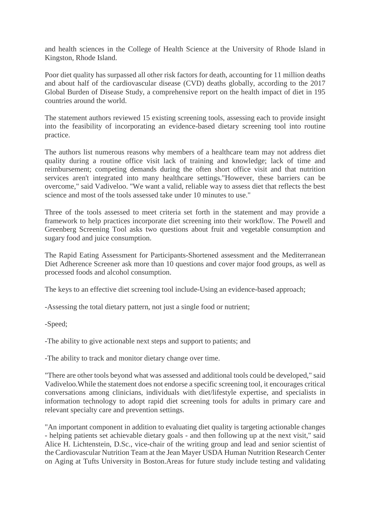and health sciences in the College of Health Science at the University of Rhode Island in Kingston, Rhode Island.

Poor diet quality has surpassed all other risk factors for death, accounting for 11 million deaths and about half of the cardiovascular disease (CVD) deaths globally, according to the 2017 Global Burden of Disease Study, a comprehensive report on the health impact of diet in 195 countries around the world.

The statement authors reviewed 15 existing screening tools, assessing each to provide insight into the feasibility of incorporating an evidence-based dietary screening tool into routine practice.

The authors list numerous reasons why members of a healthcare team may not address diet quality during a routine office visit lack of training and knowledge; lack of time and reimbursement; competing demands during the often short office visit and that nutrition services aren't integrated into many healthcare settings."However, these barriers can be overcome," said Vadiveloo. "We want a valid, reliable way to assess diet that reflects the best science and most of the tools assessed take under 10 minutes to use."

Three of the tools assessed to meet criteria set forth in the statement and may provide a framework to help practices incorporate diet screening into their workflow. The Powell and Greenberg Screening Tool asks two questions about fruit and vegetable consumption and sugary food and juice consumption.

The Rapid Eating Assessment for Participants-Shortened assessment and the Mediterranean Diet Adherence Screener ask more than 10 questions and cover major food groups, as well as processed foods and alcohol consumption.

The keys to an effective diet screening tool include-Using an evidence-based approach;

-Assessing the total dietary pattern, not just a single food or nutrient;

-Speed;

-The ability to give actionable next steps and support to patients; and

-The ability to track and monitor dietary change over time.

"There are other tools beyond what was assessed and additional tools could be developed," said Vadiveloo.While the statement does not endorse a specific screening tool, it encourages critical conversations among clinicians, individuals with diet/lifestyle expertise, and specialists in information technology to adopt rapid diet screening tools for adults in primary care and relevant specialty care and prevention settings.

"An important component in addition to evaluating diet quality is targeting actionable changes - helping patients set achievable dietary goals - and then following up at the next visit," said Alice H. Lichtenstein, D.Sc., vice-chair of the writing group and lead and senior scientist of the Cardiovascular Nutrition Team at the Jean Mayer USDA Human Nutrition Research Center on Aging at Tufts University in Boston.Areas for future study include testing and validating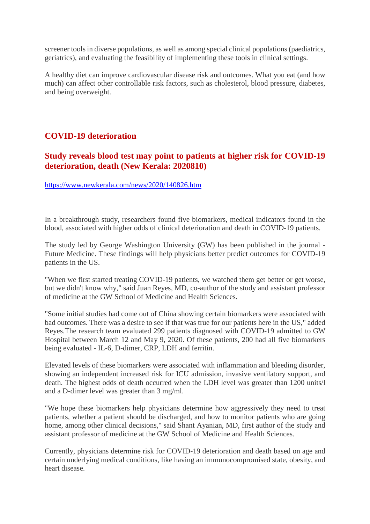screener tools in diverse populations, as well as among special clinical populations (paediatrics, geriatrics), and evaluating the feasibility of implementing these tools in clinical settings.

A healthy diet can improve cardiovascular disease risk and outcomes. What you eat (and how much) can affect other controllable risk factors, such as cholesterol, blood pressure, diabetes, and being overweight.

#### **COVID-19 deterioration**

#### **Study reveals blood test may point to patients at higher risk for COVID-19 deterioration, death (New Kerala: 2020810)**

https://www.newkerala.com/news/2020/140826.htm

In a breakthrough study, researchers found five biomarkers, medical indicators found in the blood, associated with higher odds of clinical deterioration and death in COVID-19 patients.

The study led by George Washington University (GW) has been published in the journal - Future Medicine. These findings will help physicians better predict outcomes for COVID-19 patients in the US.

"When we first started treating COVID-19 patients, we watched them get better or get worse, but we didn't know why," said Juan Reyes, MD, co-author of the study and assistant professor of medicine at the GW School of Medicine and Health Sciences.

"Some initial studies had come out of China showing certain biomarkers were associated with bad outcomes. There was a desire to see if that was true for our patients here in the US," added Reyes.The research team evaluated 299 patients diagnosed with COVID-19 admitted to GW Hospital between March 12 and May 9, 2020. Of these patients, 200 had all five biomarkers being evaluated - IL-6, D-dimer, CRP, LDH and ferritin.

Elevated levels of these biomarkers were associated with inflammation and bleeding disorder, showing an independent increased risk for ICU admission, invasive ventilatory support, and death. The highest odds of death occurred when the LDH level was greater than 1200 units/l and a D-dimer level was greater than 3 mg/ml.

"We hope these biomarkers help physicians determine how aggressively they need to treat patients, whether a patient should be discharged, and how to monitor patients who are going home, among other clinical decisions," said Shant Ayanian, MD, first author of the study and assistant professor of medicine at the GW School of Medicine and Health Sciences.

Currently, physicians determine risk for COVID-19 deterioration and death based on age and certain underlying medical conditions, like having an immunocompromised state, obesity, and heart disease.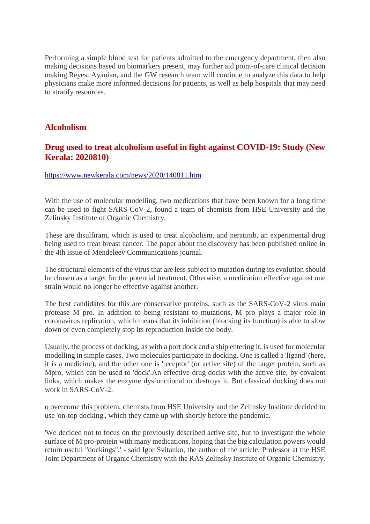Performing a simple blood test for patients admitted to the emergency department, then also making decisions based on biomarkers present, may further aid point-of-care clinical decision making.Reyes, Ayanian, and the GW research team will continue to analyze this data to help physicians make more informed decisions for patients, as well as help hospitals that may need to stratify resources.

#### **Alcoholism**

#### **Drug used to treat alcoholism useful in fight against COVID-19: Study (New Kerala: 2020810)**

#### https://www.newkerala.com/news/2020/140811.htm

With the use of molecular modelling, two medications that have been known for a long time can be used to fight SARS-CoV-2, found a team of chemists from HSE University and the Zelinsky Institute of Organic Chemistry.

These are disulfiram, which is used to treat alcoholism, and neratinib, an experimental drug being used to treat breast cancer. The paper about the discovery has been published online in the 4th issue of Mendeleev Communications journal.

The structural elements of the virus that are less subject to mutation during its evolution should be chosen as a target for the potential treatment. Otherwise, a medication effective against one strain would no longer be effective against another.

The best candidates for this are conservative proteins, such as the SARS-CoV-2 virus main protease M pro. In addition to being resistant to mutations, M pro plays a major role in coronavirus replication, which means that its inhibition (blocking its function) is able to slow down or even completely stop its reproduction inside the body.

Usually, the process of docking, as with a port dock and a ship entering it, is used for molecular modelling in simple cases. Two molecules participate in docking. One is called a 'ligand' (here, it is a medicine), and the other one is 'receptor' (or active site) of the target protein, such as Mpro, which can be used to 'dock'.An effective drug docks with the active site, by covalent links, which makes the enzyme dysfunctional or destroys it. But classical docking does not work in SARS-CoV-2.

o overcome this problem, chemists from HSE University and the Zelinsky Institute decided to use 'on-top docking', which they came up with shortly before the pandemic.

'We decided not to focus on the previously described active site, but to investigate the whole surface of M pro-protein with many medications, hoping that the big calculation powers would return useful "dockings",' - said Igor Svitanko, the author of the article, Professor at the HSE Joint Department of Organic Chemistry with the RAS Zelinsky Institute of Organic Chemistry.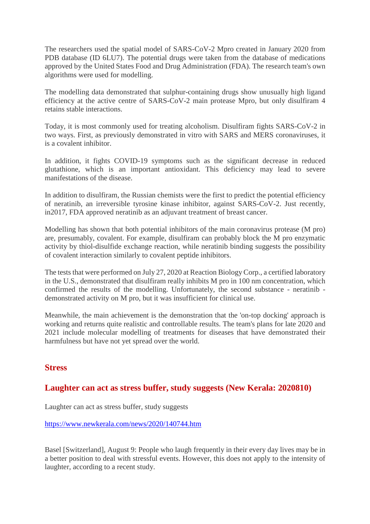The researchers used the spatial model of SARS-CoV-2 Mpro created in January 2020 from PDB database (ID 6LU7). The potential drugs were taken from the database of medications approved by the United States Food and Drug Administration (FDA). The research team's own algorithms were used for modelling.

The modelling data demonstrated that sulphur-containing drugs show unusually high ligand efficiency at the active centre of SARS-CoV-2 main protease Mpro, but only disulfiram 4 retains stable interactions.

Today, it is most commonly used for treating alcoholism. Disulfiram fights SARS-CoV-2 in two ways. First, as previously demonstrated in vitro with SARS and MERS coronaviruses, it is a covalent inhibitor.

In addition, it fights COVID-19 symptoms such as the significant decrease in reduced glutathione, which is an important antioxidant. This deficiency may lead to severe manifestations of the disease.

In addition to disulfiram, the Russian chemists were the first to predict the potential efficiency of neratinib, an irreversible tyrosine kinase inhibitor, against SARS-CoV-2. Just recently, in2017, FDA approved neratinib as an adjuvant treatment of breast cancer.

Modelling has shown that both potential inhibitors of the main coronavirus protease (M pro) are, presumably, covalent. For example, disulfiram can probably block the M pro enzymatic activity by thiol-disulfide exchange reaction, while neratinib binding suggests the possibility of covalent interaction similarly to covalent peptide inhibitors.

The tests that were performed on July 27, 2020 at Reaction Biology Corp., a certified laboratory in the U.S., demonstrated that disulfiram really inhibits M pro in 100 nm concentration, which confirmed the results of the modelling. Unfortunately, the second substance - neratinib demonstrated activity on M pro, but it was insufficient for clinical use.

Meanwhile, the main achievement is the demonstration that the 'on-top docking' approach is working and returns quite realistic and controllable results. The team's plans for late 2020 and 2021 include molecular modelling of treatments for diseases that have demonstrated their harmfulness but have not yet spread over the world.

#### **Stress**

#### **Laughter can act as stress buffer, study suggests (New Kerala: 2020810)**

Laughter can act as stress buffer, study suggests

#### https://www.newkerala.com/news/2020/140744.htm

Basel [Switzerland], August 9: People who laugh frequently in their every day lives may be in a better position to deal with stressful events. However, this does not apply to the intensity of laughter, according to a recent study.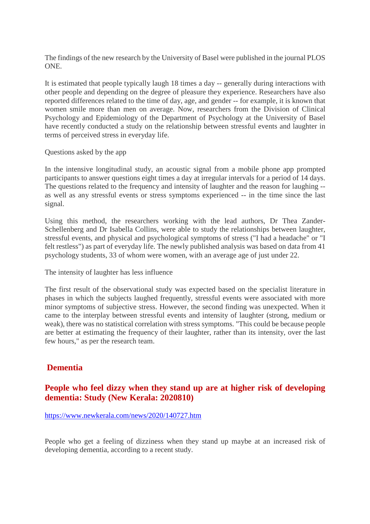The findings of the new research by the University of Basel were published in the journal PLOS ONE.

It is estimated that people typically laugh 18 times a day -- generally during interactions with other people and depending on the degree of pleasure they experience. Researchers have also reported differences related to the time of day, age, and gender -- for example, it is known that women smile more than men on average. Now, researchers from the Division of Clinical Psychology and Epidemiology of the Department of Psychology at the University of Basel have recently conducted a study on the relationship between stressful events and laughter in terms of perceived stress in everyday life.

Questions asked by the app

In the intensive longitudinal study, an acoustic signal from a mobile phone app prompted participants to answer questions eight times a day at irregular intervals for a period of 14 days. The questions related to the frequency and intensity of laughter and the reason for laughing - as well as any stressful events or stress symptoms experienced -- in the time since the last signal.

Using this method, the researchers working with the lead authors, Dr Thea Zander-Schellenberg and Dr Isabella Collins, were able to study the relationships between laughter, stressful events, and physical and psychological symptoms of stress ("I had a headache" or "I felt restless") as part of everyday life. The newly published analysis was based on data from 41 psychology students, 33 of whom were women, with an average age of just under 22.

The intensity of laughter has less influence

The first result of the observational study was expected based on the specialist literature in phases in which the subjects laughed frequently, stressful events were associated with more minor symptoms of subjective stress. However, the second finding was unexpected. When it came to the interplay between stressful events and intensity of laughter (strong, medium or weak), there was no statistical correlation with stress symptoms. "This could be because people are better at estimating the frequency of their laughter, rather than its intensity, over the last few hours," as per the research team.

#### **Dementia**

#### **People who feel dizzy when they stand up are at higher risk of developing dementia: Study (New Kerala: 2020810)**

#### https://www.newkerala.com/news/2020/140727.htm

People who get a feeling of dizziness when they stand up maybe at an increased risk of developing dementia, according to a recent study.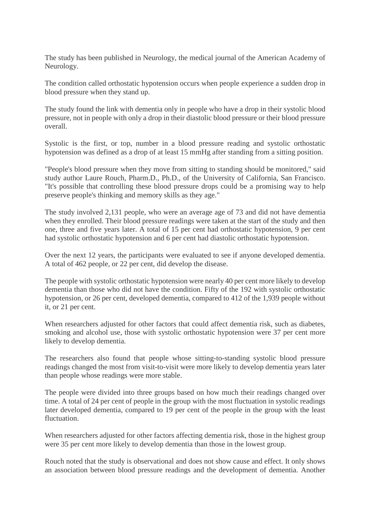The study has been published in Neurology, the medical journal of the American Academy of Neurology.

The condition called orthostatic hypotension occurs when people experience a sudden drop in blood pressure when they stand up.

The study found the link with dementia only in people who have a drop in their systolic blood pressure, not in people with only a drop in their diastolic blood pressure or their blood pressure overall.

Systolic is the first, or top, number in a blood pressure reading and systolic orthostatic hypotension was defined as a drop of at least 15 mmHg after standing from a sitting position.

"People's blood pressure when they move from sitting to standing should be monitored," said study author Laure Rouch, Pharm.D., Ph.D., of the University of California, San Francisco. "It's possible that controlling these blood pressure drops could be a promising way to help preserve people's thinking and memory skills as they age."

The study involved 2,131 people, who were an average age of 73 and did not have dementia when they enrolled. Their blood pressure readings were taken at the start of the study and then one, three and five years later. A total of 15 per cent had orthostatic hypotension, 9 per cent had systolic orthostatic hypotension and 6 per cent had diastolic orthostatic hypotension.

Over the next 12 years, the participants were evaluated to see if anyone developed dementia. A total of 462 people, or 22 per cent, did develop the disease.

The people with systolic orthostatic hypotension were nearly 40 per cent more likely to develop dementia than those who did not have the condition. Fifty of the 192 with systolic orthostatic hypotension, or 26 per cent, developed dementia, compared to 412 of the 1,939 people without it, or 21 per cent.

When researchers adjusted for other factors that could affect dementia risk, such as diabetes, smoking and alcohol use, those with systolic orthostatic hypotension were 37 per cent more likely to develop dementia.

The researchers also found that people whose sitting-to-standing systolic blood pressure readings changed the most from visit-to-visit were more likely to develop dementia years later than people whose readings were more stable.

The people were divided into three groups based on how much their readings changed over time. A total of 24 per cent of people in the group with the most fluctuation in systolic readings later developed dementia, compared to 19 per cent of the people in the group with the least fluctuation.

When researchers adjusted for other factors affecting dementia risk, those in the highest group were 35 per cent more likely to develop dementia than those in the lowest group.

Rouch noted that the study is observational and does not show cause and effect. It only shows an association between blood pressure readings and the development of dementia. Another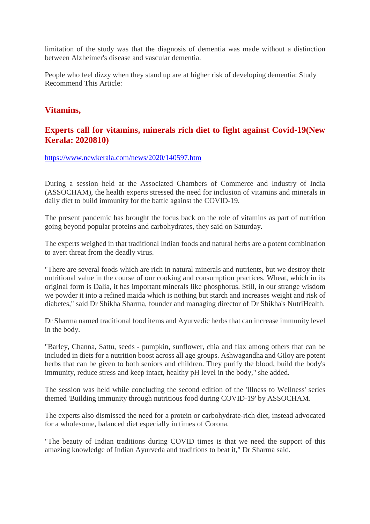limitation of the study was that the diagnosis of dementia was made without a distinction between Alzheimer's disease and vascular dementia.

People who feel dizzy when they stand up are at higher risk of developing dementia: Study Recommend This Article:

#### **Vitamins,**

#### **Experts call for vitamins, minerals rich diet to fight against Covid-19(New Kerala: 2020810)**

https://www.newkerala.com/news/2020/140597.htm

During a session held at the Associated Chambers of Commerce and Industry of India (ASSOCHAM), the health experts stressed the need for inclusion of vitamins and minerals in daily diet to build immunity for the battle against the COVID-19.

The present pandemic has brought the focus back on the role of vitamins as part of nutrition going beyond popular proteins and carbohydrates, they said on Saturday.

The experts weighed in that traditional Indian foods and natural herbs are a potent combination to avert threat from the deadly virus.

"There are several foods which are rich in natural minerals and nutrients, but we destroy their nutritional value in the course of our cooking and consumption practices. Wheat, which in its original form is Dalia, it has important minerals like phosphorus. Still, in our strange wisdom we powder it into a refined maida which is nothing but starch and increases weight and risk of diabetes," said Dr Shikha Sharma, founder and managing director of Dr Shikha's NutriHealth.

Dr Sharma named traditional food items and Ayurvedic herbs that can increase immunity level in the body.

"Barley, Channa, Sattu, seeds - pumpkin, sunflower, chia and flax among others that can be included in diets for a nutrition boost across all age groups. Ashwagandha and Giloy are potent herbs that can be given to both seniors and children. They purify the blood, build the body's immunity, reduce stress and keep intact, healthy pH level in the body," she added.

The session was held while concluding the second edition of the 'Illness to Wellness' series themed 'Building immunity through nutritious food during COVID-19' by ASSOCHAM.

The experts also dismissed the need for a protein or carbohydrate-rich diet, instead advocated for a wholesome, balanced diet especially in times of Corona.

"The beauty of Indian traditions during COVID times is that we need the support of this amazing knowledge of Indian Ayurveda and traditions to beat it," Dr Sharma said.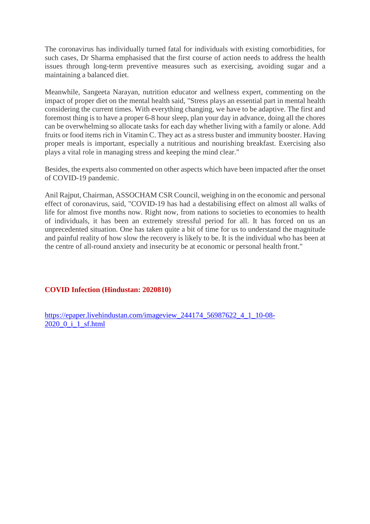The coronavirus has individually turned fatal for individuals with existing comorbidities, for such cases, Dr Sharma emphasised that the first course of action needs to address the health issues through long-term preventive measures such as exercising, avoiding sugar and a maintaining a balanced diet.

Meanwhile, Sangeeta Narayan, nutrition educator and wellness expert, commenting on the impact of proper diet on the mental health said, "Stress plays an essential part in mental health considering the current times. With everything changing, we have to be adaptive. The first and foremost thing is to have a proper 6-8 hour sleep, plan your day in advance, doing all the chores can be overwhelming so allocate tasks for each day whether living with a family or alone. Add fruits or food items rich in Vitamin C. They act as a stress buster and immunity booster. Having proper meals is important, especially a nutritious and nourishing breakfast. Exercising also plays a vital role in managing stress and keeping the mind clear."

Besides, the experts also commented on other aspects which have been impacted after the onset of COVID-19 pandemic.

Anil Rajput, Chairman, ASSOCHAM CSR Council, weighing in on the economic and personal effect of coronavirus, said, "COVID-19 has had a destabilising effect on almost all walks of life for almost five months now. Right now, from nations to societies to economies to health of individuals, it has been an extremely stressful period for all. It has forced on us an unprecedented situation. One has taken quite a bit of time for us to understand the magnitude and painful reality of how slow the recovery is likely to be. It is the individual who has been at the centre of all-round anxiety and insecurity be at economic or personal health front."

#### **COVID Infection (Hindustan: 2020810)**

https://epaper.livehindustan.com/imageview\_244174\_56987622\_4\_1\_10-08- 2020\_0\_i\_1\_sf.html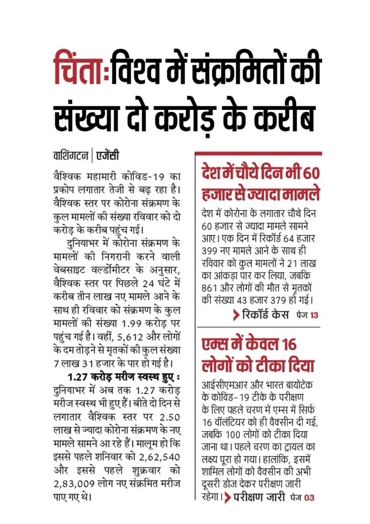# चिंता:विश्व में संक्रमितों की संख्या दो करोड़ के करीब

## वाशिंगटन स्जेंसी

वैश्विक महामारी कोविड-19 का प्रकोप लगातार तेजी से बढ रहा है। वैश्विक स्तर पर कोरोना संक्रमण के कुल मामलों की संख्या रविवार को दो करोड़ के करीब पहुंच गई।

दुनियाभर में कोरोना संक्रमण के मामलों की निगरानी करने वाली वेबसाइट वर्ल्डोमीटर के अनुसार, वैश्विक स्तर पर पिछले 24 घंटे में करीब तीन लाख नए मामले आने के साथ ही रविवार को संक्रमण के कुल मामलों की संख्या 1.99 करोड़ पर पहुंच गई है। वहीं, 5,612 और लोगों के दम तोड़ने से मृतकों की कुल संख्या 7 लाख 31 हजार के पार हो गई है।

1.27 करोड़ मरीज स्वस्थ हुए: दुनियाभर में अब तक 1.27 करोड़ मरीज स्वस्थ भी हुए हैं। बीते दो दिन से लगातार वैश्विक स्तर पर 2.50 लाख से ज्यादा कोरोना संक्रमण के नए मामले सामने आ रहे हैं। मालूम हो कि इससे पहले शनिवार को 2,62,540 और इससे पहले शुक्रवार को 2,83,009 लोग नए संक्रमित मरीज पाए गए थे।

# देश में चौथे दिन भी 60 हजार से ज्यादा मामले

देश में कोरोना के लगातार चौथे दिन 60 हजार से ज्यादा मामले सामने आए । एक दिन में रिकॉर्ड 64 हजार 399 नए मामले आने के साथ ही रविवार को कुल मामलों ने 21 लाख का आंकडा पार कर लिया, जबकि 861 और लोगों की मौत से मृतकों की संख्या 43 हजार 379 हो गई।

रिकॉर्ड केस पेज 13

## एम्स में केवल १६ लोगों को टीका दिया

आईसीएमआर और भारत बायोटेक के कोविड–19 टीके के परीक्षण के लिए पहले चरण में एम्स में सिर्फ 16 वॉलंटियर को ही वैक्सीन दी गई. जबकि 100 लोगों को टीका दिया जाना था। पहले चरण का ट्रायल का लक्ष्य पूरा हो गया। हालांकि, इसमें शामिल लोगों को वैक्सीन की अभी दूसरी डोज देकर परीक्षण जारी रहेगा। > परीक्षण जारी पेज 03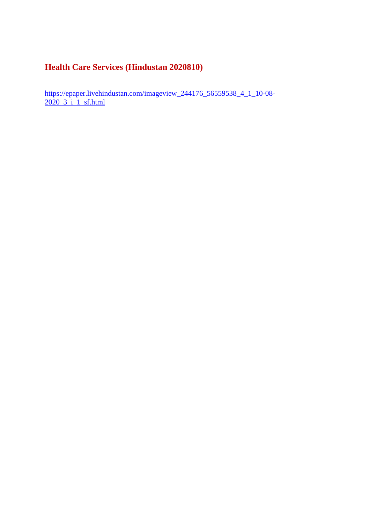#### **Health Care Services (Hindustan 2020810)**

https://epaper.livehindustan.com/imageview\_244176\_56559538\_4\_1\_10-08-2020\_3\_i\_1\_sf.html